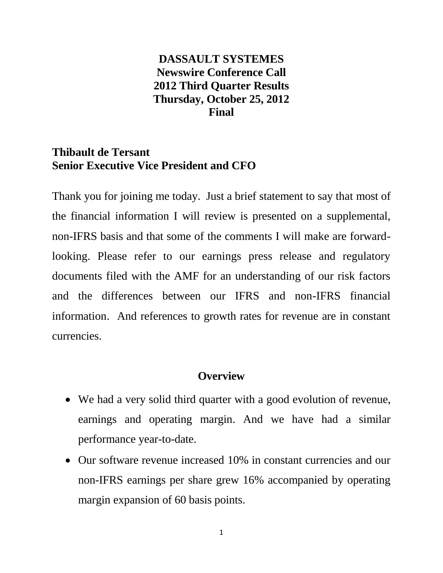# **DASSAULT SYSTEMES Newswire Conference Call 2012 Third Quarter Results Thursday, October 25, 2012 Final**

# **Thibault de Tersant Senior Executive Vice President and CFO**

Thank you for joining me today. Just a brief statement to say that most of the financial information I will review is presented on a supplemental, non-IFRS basis and that some of the comments I will make are forwardlooking. Please refer to our earnings press release and regulatory documents filed with the AMF for an understanding of our risk factors and the differences between our IFRS and non-IFRS financial information. And references to growth rates for revenue are in constant currencies.

### **Overview**

- We had a very solid third quarter with a good evolution of revenue, earnings and operating margin. And we have had a similar performance year-to-date.
- Our software revenue increased 10% in constant currencies and our non-IFRS earnings per share grew 16% accompanied by operating margin expansion of 60 basis points.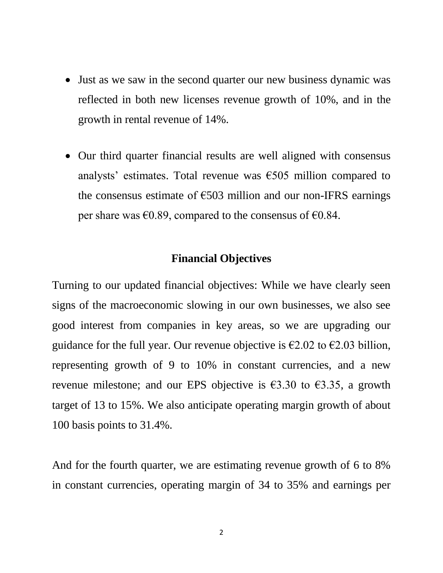- Just as we saw in the second quarter our new business dynamic was reflected in both new licenses revenue growth of 10%, and in the growth in rental revenue of 14%.
- Our third quarter financial results are well aligned with consensus analysts' estimates. Total revenue was  $\epsilon$ 505 million compared to the consensus estimate of  $\epsilon$ 503 million and our non-IFRS earnings per share was  $\epsilon$ 0.89, compared to the consensus of  $\epsilon$ 0.84.

#### **Financial Objectives**

Turning to our updated financial objectives: While we have clearly seen signs of the macroeconomic slowing in our own businesses, we also see good interest from companies in key areas, so we are upgrading our guidance for the full year. Our revenue objective is  $\epsilon$ 2.02 to  $\epsilon$ 2.03 billion, representing growth of 9 to 10% in constant currencies, and a new revenue milestone; and our EPS objective is  $\epsilon$ 3.30 to  $\epsilon$ 3.35, a growth target of 13 to 15%. We also anticipate operating margin growth of about 100 basis points to 31.4%.

And for the fourth quarter, we are estimating revenue growth of 6 to 8% in constant currencies, operating margin of 34 to 35% and earnings per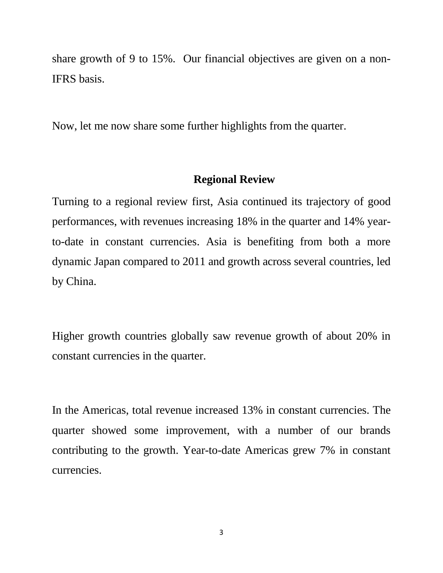share growth of 9 to 15%. Our financial objectives are given on a non-IFRS basis.

Now, let me now share some further highlights from the quarter.

# **Regional Review**

Turning to a regional review first, Asia continued its trajectory of good performances, with revenues increasing 18% in the quarter and 14% yearto-date in constant currencies. Asia is benefiting from both a more dynamic Japan compared to 2011 and growth across several countries, led by China.

Higher growth countries globally saw revenue growth of about 20% in constant currencies in the quarter.

In the Americas, total revenue increased 13% in constant currencies. The quarter showed some improvement, with a number of our brands contributing to the growth. Year-to-date Americas grew 7% in constant currencies.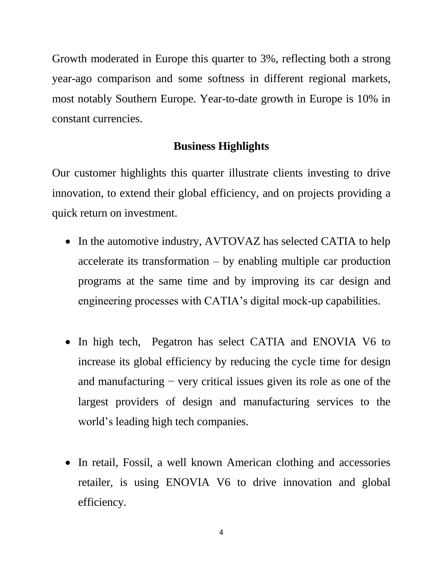Growth moderated in Europe this quarter to 3%, reflecting both a strong year-ago comparison and some softness in different regional markets, most notably Southern Europe. Year-to-date growth in Europe is 10% in constant currencies.

### **Business Highlights**

Our customer highlights this quarter illustrate clients investing to drive innovation, to extend their global efficiency, and on projects providing a quick return on investment.

- In the automotive industry, AVTOVAZ has selected CATIA to help accelerate its transformation – by enabling multiple car production programs at the same time and by improving its car design and engineering processes with CATIA's digital mock-up capabilities.
- In high tech, Pegatron has select CATIA and ENOVIA V6 to increase its global efficiency by reducing the cycle time for design and manufacturing − very critical issues given its role as one of the largest providers of design and manufacturing services to the world's leading high tech companies.
- In retail, Fossil, a well known American clothing and accessories retailer, is using ENOVIA V6 to drive innovation and global efficiency.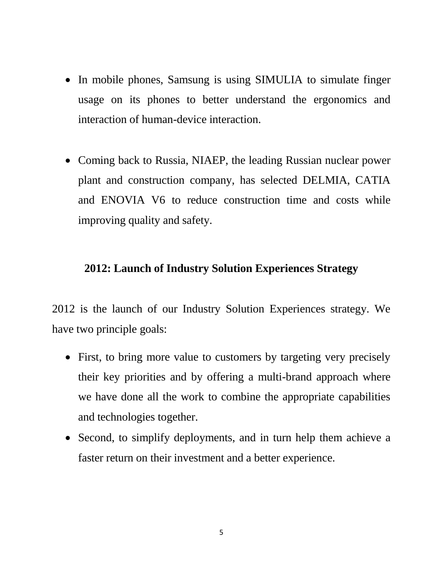- In mobile phones, Samsung is using SIMULIA to simulate finger usage on its phones to better understand the ergonomics and interaction of human-device interaction.
- Coming back to Russia, NIAEP, the leading Russian nuclear power plant and construction company, has selected DELMIA, CATIA and ENOVIA V6 to reduce construction time and costs while improving quality and safety.

# **2012: Launch of Industry Solution Experiences Strategy**

2012 is the launch of our Industry Solution Experiences strategy. We have two principle goals:

- First, to bring more value to customers by targeting very precisely their key priorities and by offering a multi-brand approach where we have done all the work to combine the appropriate capabilities and technologies together.
- Second, to simplify deployments, and in turn help them achieve a faster return on their investment and a better experience.